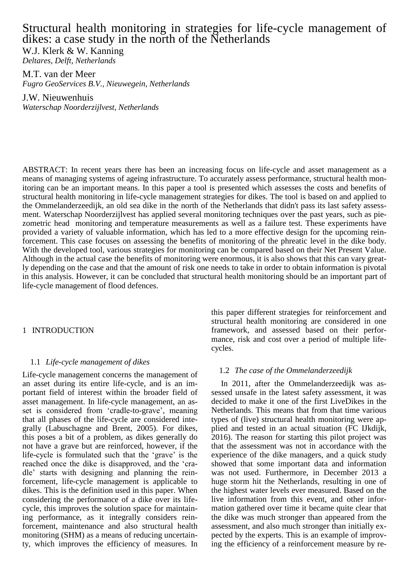# Structural health monitoring in strategies for life-cycle management of dikes: a case study in the north of the Netherlands

W.J. Klerk & W. Kanning *Deltares, Delft, Netherlands*

M.T. van der Meer *Fugro GeoServices B.V., Nieuwegein, Netherlands*

J.W. Nieuwenhuis *Waterschap Noorderzijlvest, Netherlands*

ABSTRACT: In recent years there has been an increasing focus on life-cycle and asset management as a means of managing systems of ageing infrastructure. To accurately assess performance, structural health monitoring can be an important means. In this paper a tool is presented which assesses the costs and benefits of structural health monitoring in life-cycle management strategies for dikes. The tool is based on and applied to the Ommelanderzeedijk, an old sea dike in the north of the Netherlands that didn't pass its last safety assessment. Waterschap Noorderzijlvest has applied several monitoring techniques over the past years, such as piezometric head monitoring and temperature measurements as well as a failure test. These experiments have provided a variety of valuable information, which has led to a more effective design for the upcoming reinforcement. This case focuses on assessing the benefits of monitoring of the phreatic level in the dike body. With the developed tool, various strategies for monitoring can be compared based on their Net Present Value. Although in the actual case the benefits of monitoring were enormous, it is also shows that this can vary greatly depending on the case and that the amount of risk one needs to take in order to obtain information is pivotal in this analysis. However, it can be concluded that structural health monitoring should be an important part of life-cycle management of flood defences.

# 1 INTRODUCTION

# 1.1 *Life-cycle management of dikes*

Life-cycle management concerns the management of an asset during its entire life-cycle, and is an important field of interest within the broader field of asset management. In life-cycle management, an asset is considered from 'cradle-to-grave', meaning that all phases of the life-cycle are considered integrally (Labuschagne and Brent, 2005). For dikes, this poses a bit of a problem, as dikes generally do not have a grave but are reinforced, however, if the life-cycle is formulated such that the 'grave' is the reached once the dike is disapproved, and the 'cradle' starts with designing and planning the reinforcement, life-cycle management is applicable to dikes. This is the definition used in this paper. When considering the performance of a dike over its lifecycle, this improves the solution space for maintaining performance, as it integrally considers reinforcement, maintenance and also structural health monitoring (SHM) as a means of reducing uncertainty, which improves the efficiency of measures. In

this paper different strategies for reinforcement and structural health monitoring are considered in one framework, and assessed based on their performance, risk and cost over a period of multiple lifecycles.

# 1.2 *The case of the Ommelanderzeedijk*

In 2011, after the Ommelanderzeedijk was assessed unsafe in the latest safety assessment, it was decided to make it one of the first LiveDikes in the Netherlands. This means that from that time various types of (live) structural health monitoring were applied and tested in an actual situation (FC IJkdijk, 2016). The reason for starting this pilot project was that the assessment was not in accordance with the experience of the dike managers, and a quick study showed that some important data and information was not used. Furthermore, in December 2013 a huge storm hit the Netherlands, resulting in one of the highest water levels ever measured. Based on the live information from this event, and other information gathered over time it became quite clear that the dike was much stronger than appeared from the assessment, and also much stronger than initially expected by the experts. This is an example of improving the efficiency of a reinforcement measure by re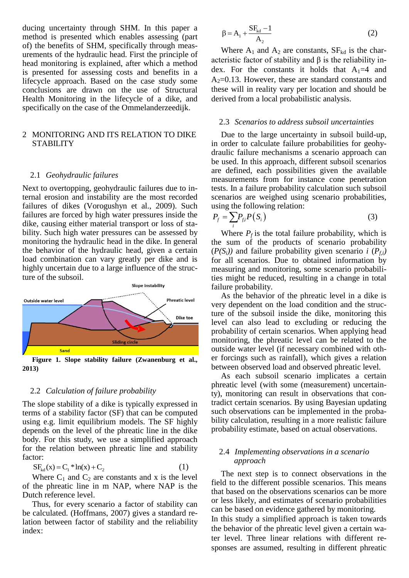ducing uncertainty through SHM. In this paper a method is presented which enables assessing (part of) the benefits of SHM, specifically through measurements of the hydraulic head. First the principle of head monitoring is explained, after which a method is presented for assessing costs and benefits in a lifecycle approach. Based on the case study some conclusions are drawn on the use of Structural Health Monitoring in the lifecycle of a dike, and specifically on the case of the Ommelanderzeedijk.

# 2 MONITORING AND ITS RELATION TO DIKE **STABILITY**

### 2.1 *Geohydraulic failures*

Next to overtopping, geohydraulic failures due to internal erosion and instability are the most recorded failures of dikes (Vorogushyn et al., 2009). Such failures are forced by high water pressures inside the dike, causing either material transport or loss of stability. Such high water pressures can be assessed by monitoring the hydraulic head in the dike. In general the behavior of the hydraulic head, given a certain load combination can vary greatly per dike and is highly uncertain due to a large influence of the structure of the subsoil.



**2013)** 

### 2.2 *Calculation of failure probability*

The slope stability of a dike is typically expressed in terms of a stability factor (SF) that can be computed using e.g. limit equilibrium models. The SF highly depends on the level of the phreatic line in the dike body. For this study, we use a simplified approach for the relation between phreatic line and stability factor:

$$
SF_{kd}(x) = C_1 * ln(x) + C_2
$$
 (1)

Where  $C_1$  and  $C_2$  are constants and x is the level of the phreatic line in m NAP, where NAP is the Dutch reference level.

Thus, for every scenario a factor of stability can be calculated. (Hoffmans, 2007) gives a standard relation between factor of stability and the reliability index:

$$
\beta = A_1 + \frac{SF_{kd} - 1}{A_2} \tag{2}
$$

Where  $A_1$  and  $A_2$  are constants,  $SF_{kd}$  is the characteristic factor of stability and  $\beta$  is the reliability index. For the constants it holds that  $A_1=4$  and  $A_2=0.13$ . However, these are standard constants and these will in reality vary per location and should be derived from a local probabilistic analysis.

# 2.3 *Scenarios to address subsoil uncertainties*

Due to the large uncertainty in subsoil build-up, in order to calculate failure probabilities for geohydraulic failure mechanisms a scenario approach can be used. In this approach, different subsoil scenarios are defined, each possibilities given the available measurements from for instance cone penetration tests. In a failure probability calculation such subsoil scenarios are weighed using scenario probabilities, using the following relation:

$$
P_f = \sum_i P_{fi} P(S_i)
$$
 (3)

Where  $P_f$  is the total failure probability, which is the sum of the products of scenario probability  $(P(S_i))$  and failure probability given scenario *i*  $(P_{fi})$ for all scenarios. Due to obtained information by measuring and monitoring, some scenario probabilities might be reduced, resulting in a change in total failure probability.

As the behavior of the phreatic level in a dike is very dependent on the load condition and the structure of the subsoil inside the dike, monitoring this level can also lead to excluding or reducing the probability of certain scenarios. When applying head monitoring, the phreatic level can be related to the outside water level (if necessary combined with other forcings such as rainfall), which gives a relation between observed load and observed phreatic level.

As each subsoil scenario implicates a certain phreatic level (with some (measurement) uncertainty), monitoring can result in observations that contradict certain scenarios. By using Bayesian updating such observations can be implemented in the probability calculation, resulting in a more realistic failure probability estimate, based on actual observations.

# 2.4 *Implementing observations in a scenario approach*

The next step is to connect observations in the field to the different possible scenarios. This means that based on the observations scenarios can be more or less likely, and estimates of scenario probabilities can be based on evidence gathered by monitoring. In this study a simplified approach is taken towards the behavior of the phreatic level given a certain water level. Three linear relations with different responses are assumed, resulting in different phreatic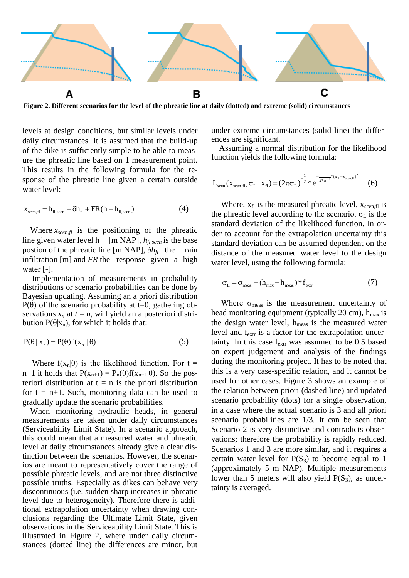

<span id="page-2-0"></span>**Figure 2. Different scenarios for the level of the phreatic line at daily (dotted) and extreme (solid) circumstances**

levels at design conditions, but similar levels under daily circumstances. It is assumed that the build-up of the dike is sufficiently simple to be able to measure the phreatic line based on 1 measurement point. This results in the following formula for the response of the phreatic line given a certain outside water level:

$$
x_{\text{seen},\text{fl}} = h_{\text{fl,seen}} + \delta h_{\text{fl}} + FR(h - h_{\text{fl,seen}})
$$
(4)

Where  $x_{\text{scen,fl}}$  is the positioning of the phreatic line given water level h  $[m \text{ NAP}]$ ,  $h_{fl,seen}$  is the base postion of the phreatic line [m NAP], *δhfl* the rain infiltration [m] and *FR* the response given a high water [-].

Implementation of measurements in probability distributions or scenario probabilities can be done by Bayesian updating. Assuming an a priori distribution P(θ) of the scenario probability at t=0, gathering observations  $x_n$  at  $t = n$ , will yield an a posteriori distribution  $P(\theta|x_n)$ , for which it holds that:

$$
P(\theta \mid x_{n}) = P(\theta)f(x_{n} \mid \theta)
$$
\n(5)

Where  $f(x_n|\theta)$  is the likelihood function. For  $t =$ n+1 it holds that  $P(x_{n+1}) = P_n(\theta) f(x_{n+1}|\theta)$ . So the posteriori distribution at  $t = n$  is the priori distribution for  $t = n+1$ . Such, monitoring data can be used to gradually update the scenario probabilities.

When monitoring hydraulic heads, in general measurements are taken under daily circumstances (Serviceability Limit State). In a scenario approach, this could mean that a measured water and phreatic level at daily circumstances already give a clear distinction between the scenarios. However, the scenarios are meant to representatively cover the range of possible phreatic levels, and are not three distinctive possible truths. Especially as dikes can behave very discontinuous (i.e. sudden sharp increases in phreatic level due to heterogeneity). Therefore there is additional extrapolation uncertainty when drawing conclusions regarding the Ultimate Limit State, given observations in the Serviceability Limit State. This is illustrated in [Figure 2,](#page-2-0) where under daily circumstances (dotted line) the differences are minor, but

under extreme circumstances (solid line) the differences are significant.

Assuming a normal distribution for the likelihood function yields the following formula:

$$
L_{\text{seen}}(x_{\text{seen},\text{fl}},\sigma_{\text{L}} | x_{\text{fl}}) = (2\pi\sigma_{\text{L}})^{-\frac{1}{2}} * e^{-\frac{1}{2*\sigma_{\text{L}}^{2}*(x_{\text{fl}} - x_{\text{seen},\text{fl}})^{2}}}
$$
(6)

Where,  $x_{\text{fl}}$  is the measured phreatic level,  $x_{\text{seen,fl}}$  is the phreatic level according to the scenario.  $\sigma_{\rm L}$  is the standard deviation of the likelihood function. In order to account for the extrapolation uncertainty this standard deviation can be assumed dependent on the distance of the measured water level to the design water level, using the following formula:

$$
\sigma_{\rm L} = \sigma_{\rm meas} + (h_{\rm max} - h_{\rm meas}) \cdot f_{\rm extr} \tag{7}
$$

Where  $\sigma_{\text{meas}}$  is the measurement uncertainty of head monitoring equipment (typically 20 cm),  $h_{max}$  is the design water level,  $h_{meas}$  is the measured water level and f<sub>extr</sub> is a factor for the extrapolation uncertainty. In this case  $f_{\text{extr}}$  was assumed to be 0.5 based on expert judgement and analysis of the findings during the monitoring project. It has to be noted that this is a very case-specific relation, and it cannot be used for other cases. [Figure 3](#page-3-0) shows an example of the relation between priori (dashed line) and updated scenario probability (dots) for a single observation, in a case where the actual scenario is 3 and all priori scenario probabilities are 1/3. It can be seen that Scenario 2 is very distinctive and contradicts observations; therefore the probability is rapidly reduced. Scenarios 1 and 3 are more similar, and it requires a certain water level for  $P(S_3)$  to become equal to 1 (approximately 5 m NAP). Multiple measurements lower than 5 meters will also yield  $P(S_3)$ , as uncertainty is averaged.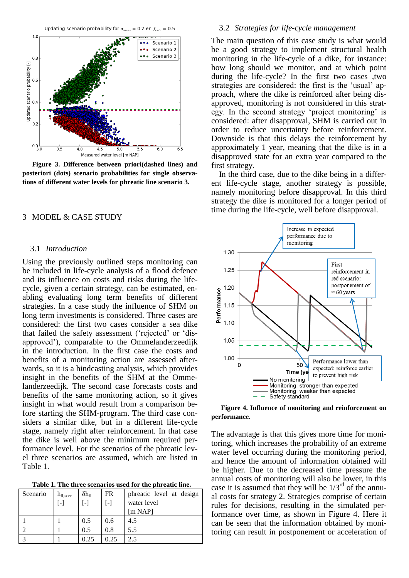



<span id="page-3-0"></span>**Figure 3. Difference between priori(dashed lines) and posteriori (dots) scenario probabilities for single observations of different water levels for phreatic line scenario 3.**

# 3 MODEL & CASE STUDY

#### 3.1 *Introduction*

Using the previously outlined steps monitoring can be included in life-cycle analysis of a flood defence and its influence on costs and risks during the lifecycle, given a certain strategy, can be estimated, enabling evaluating long term benefits of different strategies. In a case study the influence of SHM on long term investments is considered. Three cases are considered: the first two cases consider a sea dike that failed the safety assessment ('rejected' or 'disapproved'), comparable to the Ommelanderzeedijk in the introduction. In the first case the costs and benefits of a monitoring action are assessed afterwards, so it is a hindcasting analysis, which provides insight in the benefits of the SHM at the Ommelanderzeedijk. The second case forecasts costs and benefits of the same monitoring action, so it gives insight in what would result from a comparison before starting the SHM-program. The third case considers a similar dike, but in a different life-cycle stage, namely right after reinforcement. In that case the dike is well above the minimum required performance level. For the scenarios of the phreatic level three scenarios are assumed, which are listed in [Table 1.](#page-3-1)

**Table 1. The three scenarios used for the phreatic line.**

<span id="page-3-1"></span>

| Scenario | $h_{\text{fl,scen}}$<br>L-1 | $\delta h_{fl}$ | <b>FR</b><br>$\lceil - \rceil$ | phreatic level at design<br>water level<br>[m NAP] |
|----------|-----------------------------|-----------------|--------------------------------|----------------------------------------------------|
|          |                             | 0.5             | 0.6                            | 4.5                                                |
|          |                             | 0.5             | 0.8                            | 5.5                                                |
|          |                             | 0.25            | 0.25                           | 2.5                                                |

# <span id="page-3-3"></span>3.2 *Strategies for life-cycle management*

The main question of this case study is what would be a good strategy to implement structural health monitoring in the life-cycle of a dike, for instance: how long should we monitor, and at which point during the life-cycle? In the first two cases ,two strategies are considered: the first is the 'usual' approach, where the dike is reinforced after being disapproved, monitoring is not considered in this strategy. In the second strategy 'project monitoring' is considered: after disapproval, SHM is carried out in order to reduce uncertainty before reinforcement. Downside is that this delays the reinforcement by approximately 1 year, meaning that the dike is in a disapproved state for an extra year compared to the first strategy.

In the third case, due to the dike being in a different life-cycle stage, another strategy is possible, namely monitoring before disapproval. In this third strategy the dike is monitored for a longer period of time during the life-cycle, well before disapproval.



<span id="page-3-2"></span>**Figure 4. Influence of monitoring and reinforcement on performance.** 

The advantage is that this gives more time for monitoring, which increases the probability of an extreme water level occurring during the monitoring period, and hence the amount of information obtained will be higher. Due to the decreased time pressure the annual costs of monitoring will also be lower, in this case it is assumed that they will be  $1/3^{rd}$  of the annual costs for strategy 2. Strategies comprise of certain rules for decisions, resulting in the simulated performance over time, as shown in [Figure 4.](#page-3-2) Here it can be seen that the information obtained by monitoring can result in postponement or acceleration of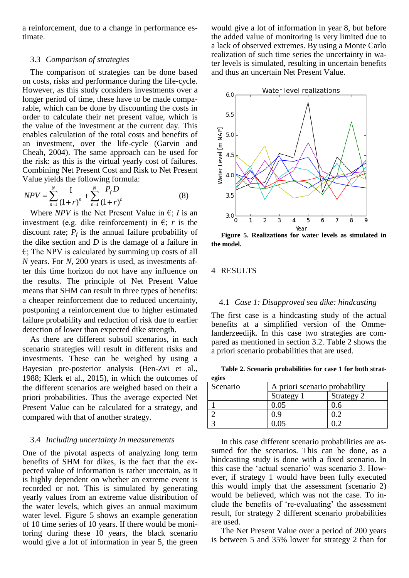a reinforcement, due to a change in performance estimate.

# 3.3 *Comparison of strategies*

The comparison of strategies can be done based on costs, risks and performance during the life-cycle. However, as this study considers investments over a longer period of time, these have to be made comparable, which can be done by discounting the costs in order to calculate their net present value, which is the value of the investment at the current day. This enables calculation of the total costs and benefits of an investment, over the life-cycle (Garvin and Cheah, 2004). The same approach can be used for the risk: as this is the virtual yearly cost of failures. Combining Net Present Cost and Risk to Net Present

Value yields the following formula:  
\n
$$
NPV = \sum_{n=1}^{N} \frac{I}{(1+r)^n} + \sum_{n=1}^{N} \frac{P_f D}{(1+r)^n}
$$
\n(8)

Where *NPV* is the Net Present Value in  $\epsilon$ ; *I* is an investment (e.g. dike reinforcement) in  $\epsilon$ ; *r* is the discount rate;  $P_f$  is the annual failure probability of the dike section and *D* is the damage of a failure in  $\epsilon$ ; The NPV is calculated by summing up costs of all *N* years. For *N*, 200 years is used, as investments after this time horizon do not have any influence on the results. The principle of Net Present Value means that SHM can result in three types of benefits: a cheaper reinforcement due to reduced uncertainty, postponing a reinforcement due to higher estimated failure probability and reduction of risk due to earlier detection of lower than expected dike strength.

As there are different subsoil scenarios, in each scenario strategies will result in different risks and investments. These can be weighed by using a Bayesian pre-posterior analysis (Ben-Zvi et al., 1988; Klerk et al., 2015), in which the outcomes of the different scenarios are weighed based on their a priori probabilities. Thus the average expected Net Present Value can be calculated for a strategy, and compared with that of another strategy.

# 3.4 *Including uncertainty in measurements*

One of the pivotal aspects of analyzing long term benefits of SHM for dikes, is the fact that the expected value of information is rather uncertain, as it is highly dependent on whether an extreme event is recorded or not. This is simulated by generating yearly values from an extreme value distribution of the water levels, which gives an annual maximum water level. [Figure 5](#page-4-0) shows an example generation of 10 time series of 10 years. If there would be monitoring during these 10 years, the black scenario would give a lot of information in year 5, the green

would give a lot of information in year 8, but before the added value of monitoring is very limited due to a lack of observed extremes. By using a Monte Carlo realization of such time series the uncertainty in water levels is simulated, resulting in uncertain benefits and thus an uncertain Net Present Value.



<span id="page-4-0"></span>**Figure 5. Realizations for water levels as simulated in the model.**

# 4 RESULTS

### 4.1 *Case 1: Disapproved sea dike: hindcasting*

The first case is a hindcasting study of the actual benefits at a simplified version of the Ommelanderzeedijk. In this case two strategies are compared as mentioned in section [3.2.](#page-3-3) [Table 2](#page-4-1) shows the a priori scenario probabilities that are used.

<span id="page-4-1"></span>**Table 2. Scenario probabilities for case 1 for both strategies**

| Scenario | A priori scenario probability |            |  |
|----------|-------------------------------|------------|--|
|          | Strategy 1                    | Strategy 2 |  |
|          | 0.05                          |            |  |
|          |                               |            |  |
|          | ገ በና                          |            |  |

In this case different scenario probabilities are assumed for the scenarios. This can be done, as a hindcasting study is done with a fixed scenario. In this case the 'actual scenario' was scenario 3. However, if strategy 1 would have been fully executed this would imply that the assessment (scenario 2) would be believed, which was not the case. To include the benefits of 're-evaluating' the assessment result, for strategy 2 different scenario probabilities are used.

The Net Present Value over a period of 200 years is between 5 and 35% lower for strategy 2 than for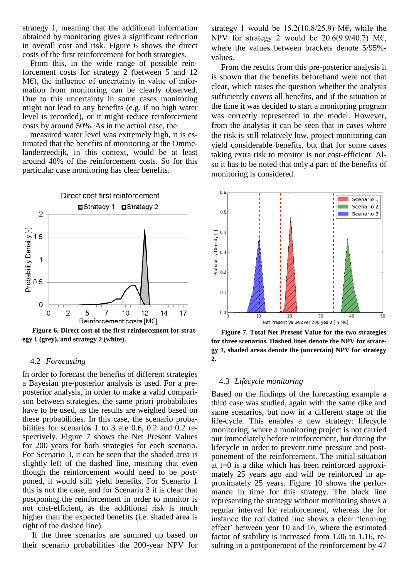strategy 1, meaning that the additional information obtained by monitoring gives a significant reduction in overall cost and risk. [Figure 6](#page-5-0) shows the direct costs of the first reinforcement for both strategies.

From this, in the wide range of possible reinforcement costs for strategy 2 (between 5 and 12  $M\epsilon$ ), the influence of uncertainty in value of information from monitoring can be clearly observed. Due to this uncertainty in some cases monitoring might not lead to any benefits (e.g. if no high water level is recorded), or it might reduce reinforcement costs by around 50%. As in the actual case, the

measured water level was extremely high, it is estimated that the benefits of monitoring at the Ommelanderzeedijk, in this context, would be at least around 40% of the reinforcement costs. So for this particular case monitoring has clear benefits.



<span id="page-5-0"></span>**Figure 6. Direct cost of the first reinforcement for strategy 1 (grey), and strategy 2 (white).**

### 4.2 *Forecasting*

In order to forecast the benefits of different strategies a Bayesian pre-posterior analysis is used. For a preposterior analysis, in order to make a valid comparison between strategies, the same priori probabilities have to be used, as the results are weighed based on these probabilities. In this case, the scenario probabilities for scenarios 1 to 3 are 0.6, 0.2 and 0.2 respectively. [Figure 7](#page-5-1) shows the Net Present Values for 200 years for both strategies for each scenario. For Scenario 3, it can be seen that the shaded area is slightly left of the dashed line, meaning that even though the reinforcement would need to be postponed, it would still yield benefits. For Scenario 1 this is not the case, and for Scenario 2 it is clear that postponing the reinforcement in order to monitor is not cost-efficient, as the additional risk is much higher than the expected benefits (i.e. shaded area is right of the dashed line).

If the three scenarios are summed up based on their scenario probabilities the 200-year NPV for strategy 1 would be  $15.2(10.8/25.9)$  ME, while the NPV for strategy 2 would be 20.6(9.9/40.7) M€, where the values between brackets denote 5/95% values.

From the results from this pre-posterior analysis it is shown that the benefits beforehand were not that clear, which raises the question whether the analysis sufficiently covers all benefits, and if the situation at the time it was decided to start a monitoring program was correctly represented in the model. However, from the analysis it can be seen that in cases where the risk is still relatively low, project monitoring can yield considerable benefits, but that for some cases taking extra risk to monitor is not cost-efficient. Also it has to be noted that only a part of the benefits of monitoring is considered.



<span id="page-5-1"></span>**Figure 7. Total Net Present Value for the two strategies for three scenarios. Dashed lines denote the NPV for strategy 1, shaded areas denote the (uncertain) NPV for strategy 2.**

### 4.3 *Lifecycle monitoring*

Based on the findings of the forecasting example a third case was studied, again with the same dike and same scenarios, but now in a different stage of the life-cycle. This enables a new strategy: lifecycle monitoring, where a monitoring project is not carried out immediately before reinforcement, but during the lifecycle in order to prevent time pressure and postponement of the reinforcement. The initial situation at t=0 is a dike which has been reinforced approximately 25 years ago and will be reinforced in approximately 25 years. [Figure 10](#page-6-0) shows the performance in time for this strategy. The black line representing the strategy without monitoring shows a regular interval for reinforcement, whereas the for instance the red dotted line shows a clear 'learning effect' between year 10 and 16, where the estimated factor of stability is increased from 1.06 to 1.16, resulting in a postponement of the reinforcement by 47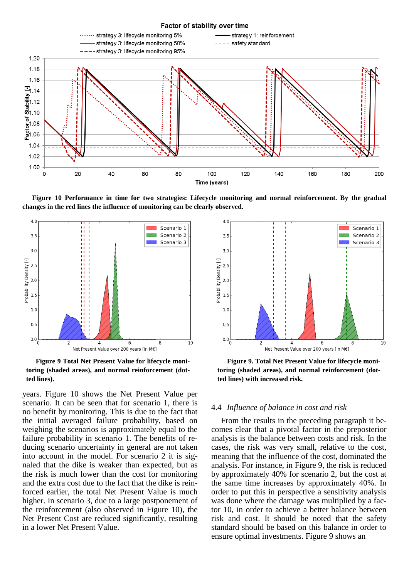

<span id="page-6-0"></span>**Figure 10 Performance in time for two strategies: Lifecycle monitoring and normal reinforcement. By the gradual changes in the red lines the influence of monitoring can be clearly observed.**



<span id="page-6-1"></span>**Figure 9 Total Net Present Value for lifecycle monitoring (shaded areas), and normal reinforcement (dotted lines).**

years. [Figure 10](#page-6-0) shows the Net Present Value per scenario. It can be seen that for scenario 1, there is no benefit by monitoring. This is due to the fact that the initial averaged failure probability, based on weighing the scenarios is approximately equal to the failure probability in scenario 1. The benefits of reducing scenario uncertainty in general are not taken into account in the model. For scenario 2 it is signaled that the dike is weaker than expected, but as the risk is much lower than the cost for monitoring and the extra cost due to the fact that the dike is reinforced earlier, the total Net Present Value is much higher. In scenario 3, due to a large postponement of the reinforcement (also observed in [Figure 10\)](#page-6-0), the Net Present Cost are reduced significantly, resulting in a lower Net Present Value.



<span id="page-6-2"></span>**Figure 9. Total Net Present Value for lifecycle monitoring (shaded areas), and normal reinforcement (dotted lines) with increased risk.**

#### 4.4 *Influence of balance in cost and risk*

From the results in the preceding paragraph it becomes clear that a pivotal factor in the preposterior analysis is the balance between costs and risk. In the cases, the risk was very small, relative to the cost, meaning that the influence of the cost, dominated the analysis. For instance, in [Figure 9,](#page-6-1) the risk is reduced by approximately 40% for scenario 2, but the cost at the same time increases by approximately 40%. In order to put this in perspective a sensitivity analysis was done where the damage was multiplied by a factor 10, in order to achieve a better balance between risk and cost. It should be noted that the safety standard should be based on this balance in order to ensure optimal investments. [Figure 9](#page-6-2) shows an